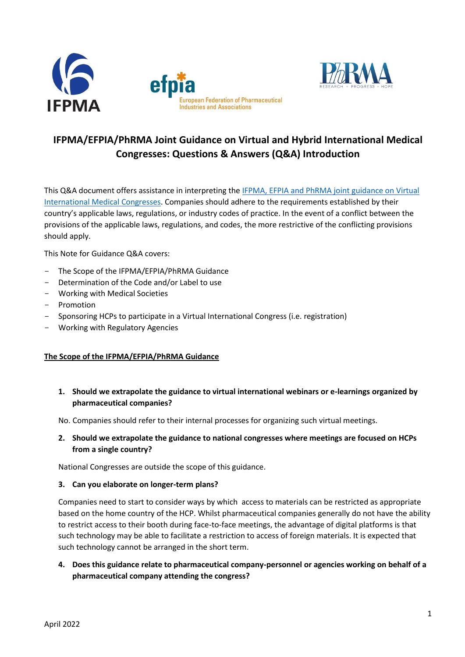



# **IFPMA/EFPIA/PhRMA Joint Guidance on Virtual and Hybrid International Medical Congresses: Questions & Answers (Q&A) Introduction**

This Q&A document offers assistance in interpreting the [IFPMA, EFPIA and PhRMA joint guidance on Virtual](https://www.ifpma.org/resource-centre/joint-guidance-virtual-hybrid-international-medical-congresses/)  [International Medical Congresses.](https://www.ifpma.org/resource-centre/joint-guidance-virtual-hybrid-international-medical-congresses/) Companies should adhere to the requirements established by their country's applicable laws, regulations, or industry codes of practice. In the event of a conflict between the provisions of the applicable laws, regulations, and codes, the more restrictive of the conflicting provisions should apply.

This Note for Guidance Q&A covers:

- The Scope of the IFPMA/EFPIA/PhRMA Guidance
- Determination of the Code and/or Label to use
- Working with Medical Societies
- Promotion
- Sponsoring HCPs to participate in a Virtual International Congress (i.e. registration)
- Working with Regulatory Agencies

#### **The Scope of the IFPMA/EFPIA/PhRMA Guidance**

**1. Should we extrapolate the guidance to virtual international webinars or e-learnings organized by pharmaceutical companies?**

No. Companies should refer to their internal processes for organizing such virtual meetings.

**2. Should we extrapolate the guidance to national congresses where meetings are focused on HCPs from a single country?**

National Congresses are outside the scope of this guidance.

#### **3. Can you elaborate on longer-term plans?**

Companies need to start to consider ways by which access to materials can be restricted as appropriate based on the home country of the HCP. Whilst pharmaceutical companies generally do not have the ability to restrict access to their booth during face-to-face meetings, the advantage of digital platforms is that such technology may be able to facilitate a restriction to access of foreign materials. It is expected that such technology cannot be arranged in the short term.

**4. Does this guidance relate to pharmaceutical company-personnel or agencies working on behalf of a pharmaceutical company attending the congress?**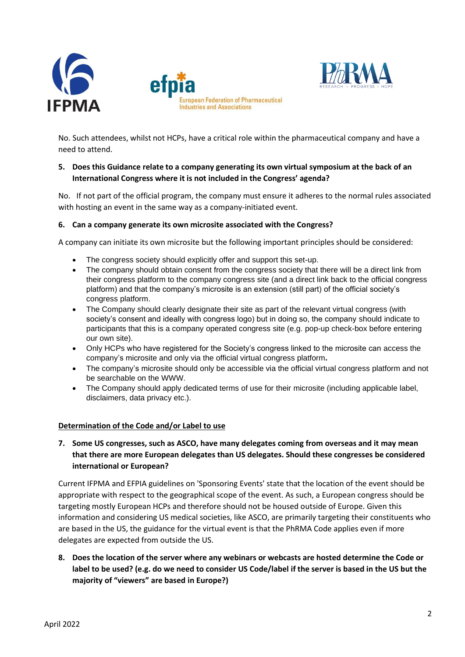



No. Such attendees, whilst not HCPs, have a critical role within the pharmaceutical company and have a need to attend.

### **5. Does this Guidance relate to a company generating its own virtual symposium at the back of an International Congress where it is not included in the Congress' agenda?**

No. If not part of the official program, the company must ensure it adheres to the normal rules associated with hosting an event in the same way as a company-initiated event.

#### **6. Can a company generate its own microsite associated with the Congress?**

A company can initiate its own microsite but the following important principles should be considered:

- The congress society should explicitly offer and support this set-up.
- The company should obtain consent from the congress society that there will be a direct link from their congress platform to the company congress site (and a direct link back to the official congress platform) and that the company's microsite is an extension (still part) of the official society's congress platform.
- The Company should clearly designate their site as part of the relevant virtual congress (with society's consent and ideally with congress logo) but in doing so, the company should indicate to participants that this is a company operated congress site (e.g. pop-up check-box before entering our own site).
- Only HCPs who have registered for the Society's congress linked to the microsite can access the company's microsite and only via the official virtual congress platform**.**
- The company's microsite should only be accessible via the official virtual congress platform and not be searchable on the WWW.
- The Company should apply dedicated terms of use for their microsite (including applicable label, disclaimers, data privacy etc.).

#### **Determination of the Code and/or Label to use**

**7. Some US congresses, such as ASCO, have many delegates coming from overseas and it may mean that there are more European delegates than US delegates. Should these congresses be considered international or European?**

Current IFPMA and EFPIA guidelines on 'Sponsoring Events' state that the location of the event should be appropriate with respect to the geographical scope of the event. As such, a European congress should be targeting mostly European HCPs and therefore should not be housed outside of Europe. Given this information and considering US medical societies, like ASCO, are primarily targeting their constituents who are based in the US, the guidance for the virtual event is that the PhRMA Code applies even if more delegates are expected from outside the US.

**8. Does the location of the server where any webinars or webcasts are hosted determine the Code or label to be used? (e.g. do we need to consider US Code/label if the server is based in the US but the majority of "viewers" are based in Europe?)**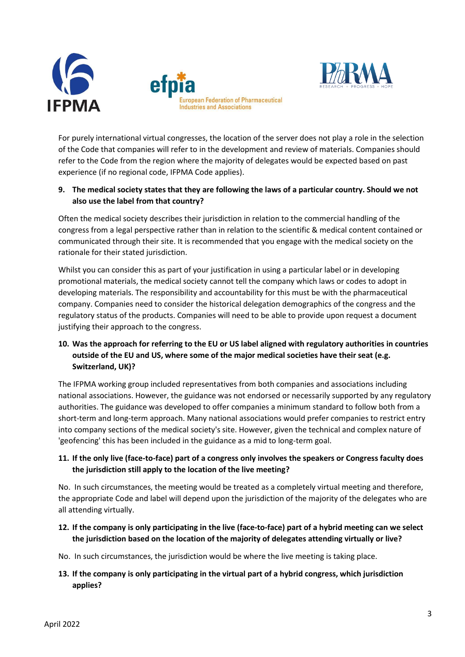



For purely international virtual congresses, the location of the server does not play a role in the selection of the Code that companies will refer to in the development and review of materials. Companies should refer to the Code from the region where the majority of delegates would be expected based on past experience (if no regional code, IFPMA Code applies).

# **9. The medical society states that they are following the laws of a particular country. Should we not also use the label from that country?**

Often the medical society describes their jurisdiction in relation to the commercial handling of the congress from a legal perspective rather than in relation to the scientific & medical content contained or communicated through their site. It is recommended that you engage with the medical society on the rationale for their stated jurisdiction.

Whilst you can consider this as part of your justification in using a particular label or in developing promotional materials, the medical society cannot tell the company which laws or codes to adopt in developing materials. The responsibility and accountability for this must be with the pharmaceutical company. Companies need to consider the historical delegation demographics of the congress and the regulatory status of the products. Companies will need to be able to provide upon request a document justifying their approach to the congress.

# **10. Was the approach for referring to the EU or US label aligned with regulatory authorities in countries outside of the EU and US, where some of the major medical societies have their seat (e.g. Switzerland, UK)?**

The IFPMA working group included representatives from both companies and associations including national associations. However, the guidance was not endorsed or necessarily supported by any regulatory authorities. The guidance was developed to offer companies a minimum standard to follow both from a short-term and long-term approach. Many national associations would prefer companies to restrict entry into company sections of the medical society's site. However, given the technical and complex nature of 'geofencing' this has been included in the guidance as a mid to long-term goal.

# **11. If the only live (face-to-face) part of a congress only involves the speakers or Congress faculty does the jurisdiction still apply to the location of the live meeting?**

No. In such circumstances, the meeting would be treated as a completely virtual meeting and therefore, the appropriate Code and label will depend upon the jurisdiction of the majority of the delegates who are all attending virtually.

**12. If the company is only participating in the live (face-to-face) part of a hybrid meeting can we select the jurisdiction based on the location of the majority of delegates attending virtually or live?** 

No. In such circumstances, the jurisdiction would be where the live meeting is taking place.

**13. If the company is only participating in the virtual part of a hybrid congress, which jurisdiction applies?**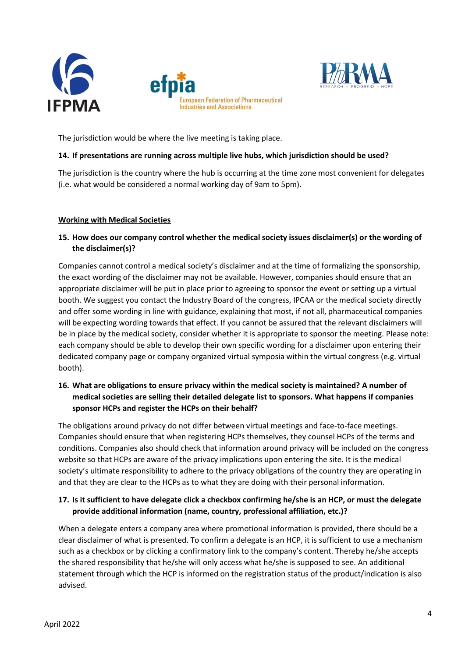



The jurisdiction would be where the live meeting is taking place.

#### **14. If presentations are running across multiple live hubs, which jurisdiction should be used?**

The jurisdiction is the country where the hub is occurring at the time zone most convenient for delegates (i.e. what would be considered a normal working day of 9am to 5pm).

#### **Working with Medical Societies**

# **15. How does our company control whether the medical society issues disclaimer(s) or the wording of the disclaimer(s)?**

Companies cannot control a medical society's disclaimer and at the time of formalizing the sponsorship, the exact wording of the disclaimer may not be available. However, companies should ensure that an appropriate disclaimer will be put in place prior to agreeing to sponsor the event or setting up a virtual booth. We suggest you contact the Industry Board of the congress, IPCAA or the medical society directly and offer some wording in line with guidance, explaining that most, if not all, pharmaceutical companies will be expecting wording towards that effect. If you cannot be assured that the relevant disclaimers will be in place by the medical society, consider whether it is appropriate to sponsor the meeting. Please note: each company should be able to develop their own specific wording for a disclaimer upon entering their dedicated company page or company organized virtual symposia within the virtual congress (e.g. virtual booth).

# **16. What are obligations to ensure privacy within the medical society is maintained? A number of medical societies are selling their detailed delegate list to sponsors. What happens if companies sponsor HCPs and register the HCPs on their behalf?**

The obligations around privacy do not differ between virtual meetings and face-to-face meetings. Companies should ensure that when registering HCPs themselves, they counsel HCPs of the terms and conditions. Companies also should check that information around privacy will be included on the congress website so that HCPs are aware of the privacy implications upon entering the site. It is the medical society's ultimate responsibility to adhere to the privacy obligations of the country they are operating in and that they are clear to the HCPs as to what they are doing with their personal information.

# **17. Is it sufficient to have delegate click a checkbox confirming he/she is an HCP, or must the delegate provide additional information (name, country, professional affiliation, etc.)?**

When a delegate enters a company area where promotional information is provided, there should be a clear disclaimer of what is presented. To confirm a delegate is an HCP, it is sufficient to use a mechanism such as a checkbox or by clicking a confirmatory link to the company's content. Thereby he/she accepts the shared responsibility that he/she will only access what he/she is supposed to see. An additional statement through which the HCP is informed on the registration status of the product/indication is also advised.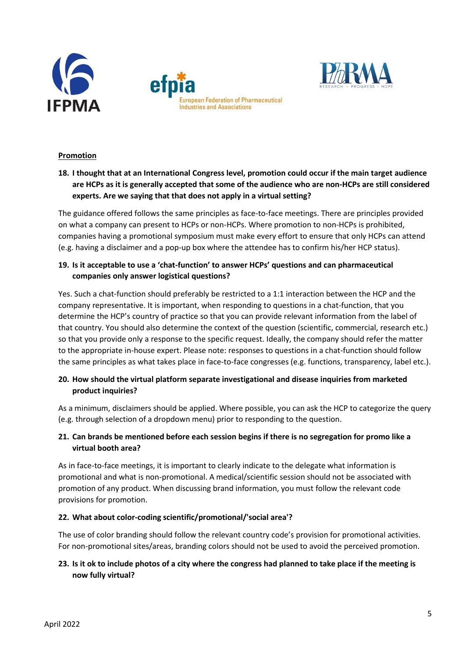





### **Promotion**

# **18. I thought that at an International Congress level, promotion could occur if the main target audience are HCPs as it is generally accepted that some of the audience who are non-HCPs are still considered experts. Are we saying that that does not apply in a virtual setting?**

The guidance offered follows the same principles as face-to-face meetings. There are principles provided on what a company can present to HCPs or non-HCPs. Where promotion to non-HCPs is prohibited, companies having a promotional symposium must make every effort to ensure that only HCPs can attend (e.g. having a disclaimer and a pop-up box where the attendee has to confirm his/her HCP status).

# **19. Is it acceptable to use a 'chat-function' to answer HCPs' questions and can pharmaceutical companies only answer logistical questions?**

Yes. Such a chat-function should preferably be restricted to a 1:1 interaction between the HCP and the company representative. It is important, when responding to questions in a chat-function, that you determine the HCP's country of practice so that you can provide relevant information from the label of that country. You should also determine the context of the question (scientific, commercial, research etc.) so that you provide only a response to the specific request. Ideally, the company should refer the matter to the appropriate in-house expert. Please note: responses to questions in a chat-function should follow the same principles as what takes place in face-to-face congresses (e.g. functions, transparency, label etc.).

# **20. How should the virtual platform separate investigational and disease inquiries from marketed product inquiries?**

As a minimum, disclaimers should be applied. Where possible, you can ask the HCP to categorize the query (e.g. through selection of a dropdown menu) prior to responding to the question.

# **21. Can brands be mentioned before each session begins if there is no segregation for promo like a virtual booth area?**

As in face-to-face meetings, it is important to clearly indicate to the delegate what information is promotional and what is non-promotional. A medical/scientific session should not be associated with promotion of any product. When discussing brand information, you must follow the relevant code provisions for promotion.

### **22. What about color-coding scientific/promotional/'social area'?**

The use of color branding should follow the relevant country code's provision for promotional activities. For non-promotional sites/areas, branding colors should not be used to avoid the perceived promotion.

# **23. Is it ok to include photos of a city where the congress had planned to take place if the meeting is now fully virtual?**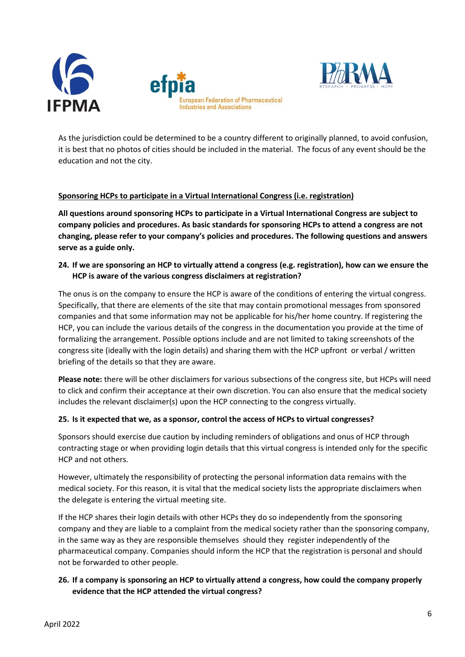



As the jurisdiction could be determined to be a country different to originally planned, to avoid confusion, it is best that no photos of cities should be included in the material. The focus of any event should be the education and not the city.

### **Sponsoring HCPs to participate in a Virtual International Congress (i.e. registration)**

**All questions around sponsoring HCPs to participate in a Virtual International Congress are subject to company policies and procedures. As basic standards for sponsoring HCPs to attend a congress are not changing, please refer to your company's policies and procedures. The following questions and answers serve as a guide only.** 

**24. If we are sponsoring an HCP to virtually attend a congress (e.g. registration), how can we ensure the HCP is aware of the various congress disclaimers at registration?**

The onus is on the company to ensure the HCP is aware of the conditions of entering the virtual congress. Specifically, that there are elements of the site that may contain promotional messages from sponsored companies and that some information may not be applicable for his/her home country. If registering the HCP, you can include the various details of the congress in the documentation you provide at the time of formalizing the arrangement. Possible options include and are not limited to taking screenshots of the congress site (ideally with the login details) and sharing them with the HCP upfront or verbal / written briefing of the details so that they are aware.

**Please note:** there will be other disclaimers for various subsections of the congress site, but HCPs will need to click and confirm their acceptance at their own discretion. You can also ensure that the medical society includes the relevant disclaimer(s) upon the HCP connecting to the congress virtually.

#### **25. Is it expected that we, as a sponsor, control the access of HCPs to virtual congresses?**

Sponsors should exercise due caution by including reminders of obligations and onus of HCP through contracting stage or when providing login details that this virtual congress is intended only for the specific HCP and not others.

However, ultimately the responsibility of protecting the personal information data remains with the medical society. For this reason, it is vital that the medical society lists the appropriate disclaimers when the delegate is entering the virtual meeting site.

If the HCP shares their login details with other HCPs they do so independently from the sponsoring company and they are liable to a complaint from the medical society rather than the sponsoring company, in the same way as they are responsible themselves should they register independently of the pharmaceutical company. Companies should inform the HCP that the registration is personal and should not be forwarded to other people.

# **26. If a company is sponsoring an HCP to virtually attend a congress, how could the company properly evidence that the HCP attended the virtual congress?**